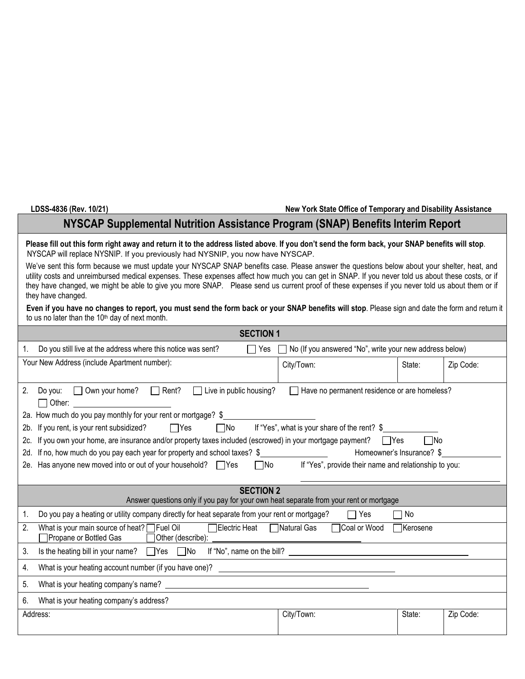## **LDSS-4836 (Rev. 10/21) New York State Office of Temporary and Disability Assistance**

## **NYSCAP Supplemental Nutrition Assistance Program (SNAP) Benefits Interim Report**

**Please fill out this form right away and return it to the address listed above**. **If you don't send the form back, your SNAP benefits will stop**. NYSCAP will replace NYSNIP. If you previously had NYSNIP, you now have NYSCAP.

We've sent this form because we must update your NYSCAP SNAP benefits case. Please answer the questions below about your shelter, heat, and utility costs and unreimbursed medical expenses. These expenses affect how much you can get in SNAP. If you never told us about these costs, or if they have changed, we might be able to give you more SNAP. Please send us current proof of these expenses if you never told us about them or if they have changed.

**Even if you have no changes to report, you must send the form back or your SNAP benefits will stop**. Please sign and date the form and return it to us no later than the 10<sup>th</sup> day of next month.

| <b>SECTION 1</b>                                                                                                                                                            |                                                       |        |           |  |  |
|-----------------------------------------------------------------------------------------------------------------------------------------------------------------------------|-------------------------------------------------------|--------|-----------|--|--|
| Do you still live at the address where this notice was sent?<br>No (If you answered "No", write your new address below)<br>1.<br>l IYes<br>$\mathbf{L}$                     |                                                       |        |           |  |  |
| Your New Address (include Apartment number):                                                                                                                                | City/Town:                                            | State: | Zip Code: |  |  |
|                                                                                                                                                                             |                                                       |        |           |  |  |
| 2.<br>◯ Own your home? ◯ Rent? ◯ Live in public housing?<br>Have no permanent residence or are homeless?<br>Do you:                                                         |                                                       |        |           |  |  |
| $\Box$ Other:<br>2a. How much do you pay monthly for your rent or mortgage? \$                                                                                              |                                                       |        |           |  |  |
| If "Yes", what is your share of the rent? \$<br>2b. If you rent, is your rent subsidized?<br>$\Box$ Yes<br>$\Box$ No                                                        |                                                       |        |           |  |  |
| 2c. If you own your home, are insurance and/or property taxes included (escrowed) in your mortgage payment? TYes<br>l INo                                                   |                                                       |        |           |  |  |
| 2d. If no, how much do you pay each year for property and school taxes? \$<br>Homeowner's Insurance? \$                                                                     |                                                       |        |           |  |  |
| 2e. Has anyone new moved into or out of your household? TYes<br>$\Box$ No                                                                                                   | If "Yes", provide their name and relationship to you: |        |           |  |  |
|                                                                                                                                                                             |                                                       |        |           |  |  |
| <b>SECTION 2</b><br>Answer questions only if you pay for your own heat separate from your rent or mortgage                                                                  |                                                       |        |           |  |  |
| Do you pay a heating or utility company directly for heat separate from your rent or mortgage?<br>1.                                                                        | $\Box$ Yes                                            | No     |           |  |  |
| What is your main source of heat? Fuel Oil<br>□ Electric Heat<br>□Natural Gas<br>2.<br>□ Coal or Wood<br><b>T</b> Kerosene<br>Propane or Bottled Gas<br>□ Other (describe): |                                                       |        |           |  |  |
| Is the heating bill in your name? Yes No If "No", name on the bill?<br>3.                                                                                                   |                                                       |        |           |  |  |
| What is your heating account number (if you have one)?<br>4.                                                                                                                |                                                       |        |           |  |  |
| 5.                                                                                                                                                                          |                                                       |        |           |  |  |
| 6.<br>What is your heating company's address?                                                                                                                               |                                                       |        |           |  |  |
| Address:                                                                                                                                                                    | City/Town:                                            | State: | Zip Code: |  |  |
|                                                                                                                                                                             |                                                       |        |           |  |  |